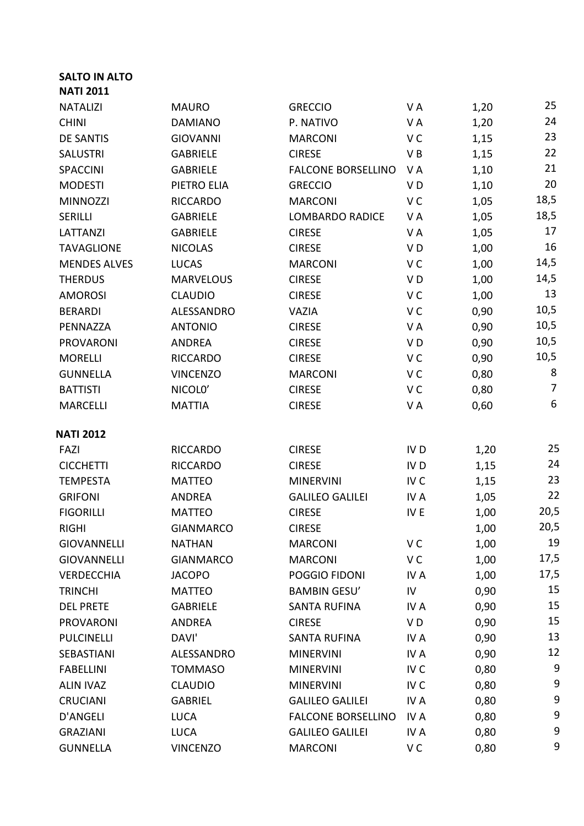## **SALTO IN ALTO NATI 2011**

| <b>NATALIZI</b>     | <b>MAURO</b>     | <b>GRECCIO</b>                  | VA              | 1,20 | 25             |
|---------------------|------------------|---------------------------------|-----------------|------|----------------|
| <b>CHINI</b>        | <b>DAMIANO</b>   | P. NATIVO                       | VA              | 1,20 | 24             |
| <b>DE SANTIS</b>    | <b>GIOVANNI</b>  | <b>MARCONI</b>                  | V <sub>C</sub>  | 1,15 | 23             |
| <b>SALUSTRI</b>     | <b>GABRIELE</b>  | <b>CIRESE</b>                   | VB              | 1,15 | 22             |
| <b>SPACCINI</b>     | <b>GABRIELE</b>  | <b>FALCONE BORSELLINO</b><br>VA |                 | 1,10 | 21             |
| <b>MODESTI</b>      | PIETRO ELIA      | <b>GRECCIO</b>                  | VD              | 1,10 | 20             |
| <b>MINNOZZI</b>     | <b>RICCARDO</b>  | <b>MARCONI</b>                  | V <sub>C</sub>  | 1,05 | 18,5           |
| SERILLI             | <b>GABRIELE</b>  | <b>LOMBARDO RADICE</b>          | VA              | 1,05 | 18,5           |
| LATTANZI            | <b>GABRIELE</b>  | <b>CIRESE</b>                   | VA              | 1,05 | 17             |
| <b>TAVAGLIONE</b>   | <b>NICOLAS</b>   | <b>CIRESE</b>                   | VD              | 1,00 | 16             |
| <b>MENDES ALVES</b> | <b>LUCAS</b>     | <b>MARCONI</b>                  | V <sub>C</sub>  | 1,00 | 14,5           |
| <b>THERDUS</b>      | <b>MARVELOUS</b> | <b>CIRESE</b>                   | V <sub>D</sub>  | 1,00 | 14,5           |
| <b>AMOROSI</b>      | <b>CLAUDIO</b>   | <b>CIRESE</b>                   | V <sub>C</sub>  | 1,00 | 13             |
| <b>BERARDI</b>      | ALESSANDRO       | VAZIA                           | V <sub>C</sub>  | 0,90 | 10,5           |
| PENNAZZA            | <b>ANTONIO</b>   | <b>CIRESE</b>                   | VA              | 0,90 | 10,5           |
| <b>PROVARONI</b>    | <b>ANDREA</b>    | <b>CIRESE</b>                   | V <sub>D</sub>  | 0,90 | 10,5           |
| <b>MORELLI</b>      | <b>RICCARDO</b>  | <b>CIRESE</b>                   | V <sub>C</sub>  | 0,90 | 10,5           |
| <b>GUNNELLA</b>     | <b>VINCENZO</b>  | <b>MARCONI</b>                  | V <sub>C</sub>  | 0,80 | 8              |
| <b>BATTISTI</b>     | NICOLO'          | <b>CIRESE</b>                   | V <sub>C</sub>  | 0,80 | $\overline{7}$ |
| <b>MARCELLI</b>     | <b>MATTIA</b>    | <b>CIRESE</b>                   | VA              | 0,60 | 6              |
| <b>NATI 2012</b>    |                  |                                 |                 |      |                |
| FAZI                | <b>RICCARDO</b>  | <b>CIRESE</b>                   | IV <sub>D</sub> | 1,20 | 25             |
| <b>CICCHETTI</b>    | <b>RICCARDO</b>  | <b>CIRESE</b>                   | IV <sub>D</sub> | 1,15 | 24             |
| <b>TEMPESTA</b>     | <b>MATTEO</b>    | <b>MINERVINI</b>                | IV <sub>C</sub> | 1,15 | 23             |
| <b>GRIFONI</b>      | <b>ANDREA</b>    | <b>GALILEO GALILEI</b>          | IV A            | 1,05 | 22             |
| <b>FIGORILLI</b>    | <b>MATTEO</b>    | <b>CIRESE</b>                   | IV E            | 1,00 | 20,5           |
| <b>RIGHI</b>        | <b>GIANMARCO</b> | <b>CIRESE</b>                   |                 | 1,00 | 20,5           |
| <b>GIOVANNELLI</b>  | <b>NATHAN</b>    | <b>MARCONI</b>                  | V C             | 1,00 | 19             |
| <b>GIOVANNELLI</b>  | <b>GIANMARCO</b> | <b>MARCONI</b>                  | V C             | 1,00 | 17,5           |
| <b>VERDECCHIA</b>   | <b>JACOPO</b>    | POGGIO FIDONI                   | IV A            | 1,00 | 17,5           |
| <b>TRINCHI</b>      | <b>MATTEO</b>    | <b>BAMBIN GESU'</b>             | IV              | 0,90 | 15             |
| <b>DEL PRETE</b>    | <b>GABRIELE</b>  | <b>SANTA RUFINA</b>             | IV A            | 0,90 | 15             |
| <b>PROVARONI</b>    | <b>ANDREA</b>    | <b>CIRESE</b>                   | V D             | 0,90 | 15             |
| <b>PULCINELLI</b>   | DAVI'            | <b>SANTA RUFINA</b>             | IV A            | 0,90 | 13             |
| SEBASTIANI          | ALESSANDRO       | <b>MINERVINI</b>                | IV A            | 0,90 | 12             |
| <b>FABELLINI</b>    | <b>TOMMASO</b>   | <b>MINERVINI</b>                | IV <sub>C</sub> | 0,80 | 9              |
| <b>ALIN IVAZ</b>    | <b>CLAUDIO</b>   | <b>MINERVINI</b>                | IV C            | 0,80 | 9              |
| <b>CRUCIANI</b>     | <b>GABRIEL</b>   | <b>GALILEO GALILEI</b>          | IV A            | 0,80 | 9              |
| D'ANGELI            | <b>LUCA</b>      | <b>FALCONE BORSELLINO</b>       | IV A            | 0,80 | 9              |
| <b>GRAZIANI</b>     | <b>LUCA</b>      | <b>GALILEO GALILEI</b>          | IV A            | 0,80 | 9              |
| <b>GUNNELLA</b>     | <b>VINCENZO</b>  | <b>MARCONI</b>                  | V C             | 0,80 | 9              |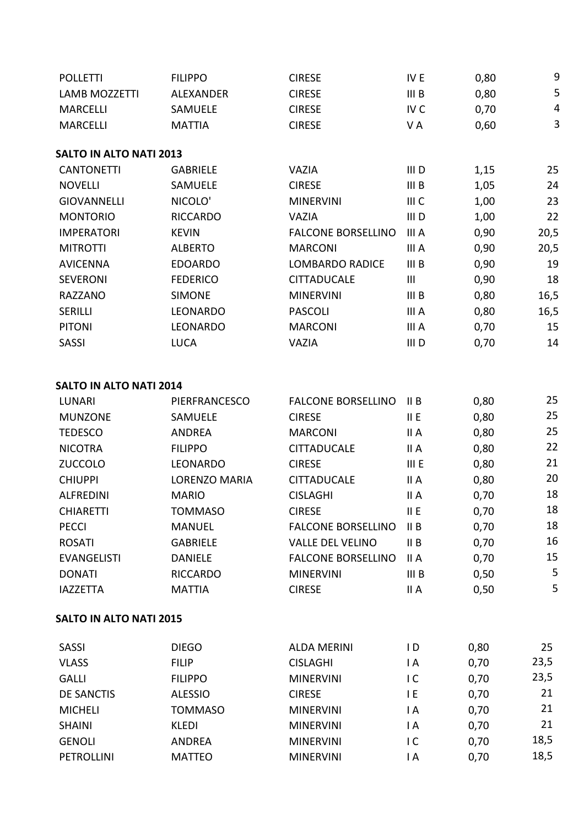| <b>POLLETTI</b>                | <b>FILIPPO</b>       | <b>CIRESE</b>             | IV <sub>E</sub>  | 0,80 | $\boldsymbol{9}$        |
|--------------------------------|----------------------|---------------------------|------------------|------|-------------------------|
| <b>LAMB MOZZETTI</b>           | <b>ALEXANDER</b>     | <b>CIRESE</b>             | III <sub>B</sub> | 0,80 | 5                       |
| <b>MARCELLI</b>                | SAMUELE              | <b>CIRESE</b>             | IV <sub>C</sub>  | 0,70 | $\overline{\mathbf{4}}$ |
| <b>MARCELLI</b>                | <b>MATTIA</b>        | <b>CIRESE</b>             | VA               | 0,60 | 3                       |
| <b>SALTO IN ALTO NATI 2013</b> |                      |                           |                  |      |                         |
| <b>CANTONETTI</b>              | <b>GABRIELE</b>      | <b>VAZIA</b>              | III <sub>D</sub> | 1,15 | 25                      |
| <b>NOVELLI</b>                 | SAMUELE              | <b>CIRESE</b>             | III <sub>B</sub> | 1,05 | 24                      |
| <b>GIOVANNELLI</b>             | NICOLO'              | <b>MINERVINI</b>          | III C            | 1,00 | 23                      |
| <b>MONTORIO</b>                | <b>RICCARDO</b>      | <b>VAZIA</b>              | III <sub>D</sub> | 1,00 | 22                      |
| <b>IMPERATORI</b>              | <b>KEVIN</b>         | <b>FALCONE BORSELLINO</b> | III A            | 0,90 | 20,5                    |
| <b>MITROTTI</b>                | <b>ALBERTO</b>       | <b>MARCONI</b>            | III A            | 0,90 | 20,5                    |
| <b>AVICENNA</b>                | <b>EDOARDO</b>       | <b>LOMBARDO RADICE</b>    | III B            | 0,90 | 19                      |
| <b>SEVERONI</b>                | <b>FEDERICO</b>      | <b>CITTADUCALE</b>        | III              | 0,90 | 18                      |
| <b>RAZZANO</b>                 | <b>SIMONE</b>        | <b>MINERVINI</b>          | III <sub>B</sub> | 0,80 | 16,5                    |
| <b>SERILLI</b>                 | LEONARDO             | <b>PASCOLI</b>            | III A            | 0,80 | 16,5                    |
| <b>PITONI</b>                  | LEONARDO             | <b>MARCONI</b>            | III A            | 0,70 | 15                      |
| <b>SASSI</b>                   | <b>LUCA</b>          | <b>VAZIA</b>              | III <sub>D</sub> | 0,70 | 14                      |
|                                |                      |                           |                  |      |                         |
| <b>SALTO IN ALTO NATI 2014</b> |                      |                           |                  |      |                         |
| <b>LUNARI</b>                  | PIERFRANCESCO        | <b>FALCONE BORSELLINO</b> | II B             | 0,80 | 25                      |
| <b>MUNZONE</b>                 | SAMUELE              | <b>CIRESE</b>             | II E             | 0,80 | 25                      |
| <b>TEDESCO</b>                 | <b>ANDREA</b>        | <b>MARCONI</b>            | II A             | 0,80 | 25                      |
| <b>NICOTRA</b>                 | <b>FILIPPO</b>       | <b>CITTADUCALE</b>        | II A             | 0,80 | 22                      |
| <b>ZUCCOLO</b>                 | LEONARDO             | <b>CIRESE</b>             | III E            | 0,80 | 21                      |
| <b>CHIUPPI</b>                 | <b>LORENZO MARIA</b> | <b>CITTADUCALE</b>        | II A             | 0,80 | 20                      |
| <b>ALFREDINI</b>               | <b>MARIO</b>         | <b>CISLAGHI</b>           | II A             | 0,70 | 18                      |
| <b>CHIARETTI</b>               | <b>TOMMASO</b>       | <b>CIRESE</b>             | II E             | 0,70 | 18                      |
| <b>PECCI</b>                   | <b>MANUEL</b>        | <b>FALCONE BORSELLINO</b> | II B             | 0,70 | 18                      |
| <b>ROSATI</b>                  | <b>GABRIELE</b>      | <b>VALLE DEL VELINO</b>   | II B             | 0,70 | 16                      |
| <b>EVANGELISTI</b>             | <b>DANIELE</b>       | <b>FALCONE BORSELLINO</b> | II A             | 0,70 | 15                      |
| <b>DONATI</b>                  | <b>RICCARDO</b>      | <b>MINERVINI</b>          | III <sub>B</sub> | 0,50 | 5                       |
| <b>IAZZETTA</b>                | <b>MATTIA</b>        | <b>CIRESE</b>             | II A             | 0,50 | 5                       |
| <b>SALTO IN ALTO NATI 2015</b> |                      |                           |                  |      |                         |
| <b>SASSI</b>                   | <b>DIEGO</b>         | <b>ALDA MERINI</b>        | $\mathsf{I}$     | 0,80 | 25                      |
| <b>VLASS</b>                   | <b>FILIP</b>         | <b>CISLAGHI</b>           | $\mathsf{I}$ A   | 0,70 | 23,5                    |
| <b>GALLI</b>                   | <b>FILIPPO</b>       | <b>MINERVINI</b>          | $\overline{C}$   | 0,70 | 23,5                    |
| <b>DE SANCTIS</b>              | <b>ALESSIO</b>       | <b>CIRESE</b>             | I E              | 0,70 | 21                      |
| <b>MICHELI</b>                 | <b>TOMMASO</b>       | <b>MINERVINI</b>          | $\mathsf{I}$ A   | 0,70 | 21                      |
| <b>SHAINI</b>                  | <b>KLEDI</b>         | <b>MINERVINI</b>          | $\mathsf{I}$ A   | 0,70 | 21                      |
| <b>GENOLI</b>                  | ANDREA               | <b>MINERVINI</b>          | $\overline{C}$   | 0,70 | 18,5                    |
| <b>PETROLLINI</b>              | <b>MATTEO</b>        | <b>MINERVINI</b>          | I A              | 0,70 | 18,5                    |